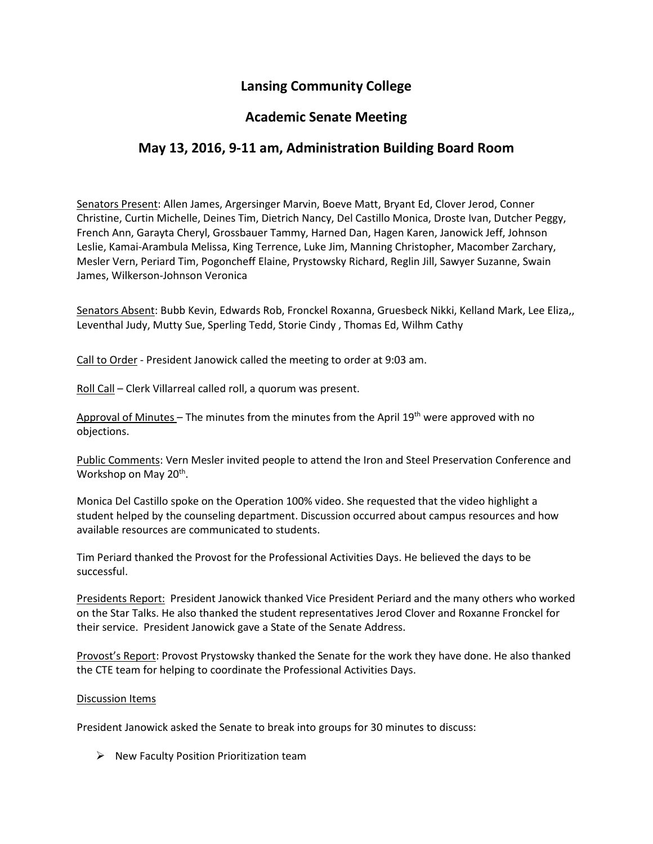# **Lansing Community College**

### **Academic Senate Meeting**

## **May 13, 2016, 9-11 am, Administration Building Board Room**

Senators Present: Allen James, Argersinger Marvin, Boeve Matt, Bryant Ed, Clover Jerod, Conner Christine, Curtin Michelle, Deines Tim, Dietrich Nancy, Del Castillo Monica, Droste Ivan, Dutcher Peggy, French Ann, Garayta Cheryl, Grossbauer Tammy, Harned Dan, Hagen Karen, Janowick Jeff, Johnson Leslie, Kamai-Arambula Melissa, King Terrence, Luke Jim, Manning Christopher, Macomber Zarchary, Mesler Vern, Periard Tim, Pogoncheff Elaine, Prystowsky Richard, Reglin Jill, Sawyer Suzanne, Swain James, Wilkerson-Johnson Veronica

Senators Absent: Bubb Kevin, Edwards Rob, Fronckel Roxanna, Gruesbeck Nikki, Kelland Mark, Lee Eliza,, Leventhal Judy, Mutty Sue, Sperling Tedd, Storie Cindy , Thomas Ed, Wilhm Cathy

Call to Order - President Janowick called the meeting to order at 9:03 am.

Roll Call – Clerk Villarreal called roll, a quorum was present.

Approval of Minutes – The minutes from the minutes from the April  $19<sup>th</sup>$  were approved with no objections.

Public Comments: Vern Mesler invited people to attend the Iron and Steel Preservation Conference and Workshop on May 20<sup>th</sup>.

Monica Del Castillo spoke on the Operation 100% video. She requested that the video highlight a student helped by the counseling department. Discussion occurred about campus resources and how available resources are communicated to students.

Tim Periard thanked the Provost for the Professional Activities Days. He believed the days to be successful.

Presidents Report: President Janowick thanked Vice President Periard and the many others who worked on the Star Talks. He also thanked the student representatives Jerod Clover and Roxanne Fronckel for their service. President Janowick gave a State of the Senate Address.

Provost's Report: Provost Prystowsky thanked the Senate for the work they have done. He also thanked the CTE team for helping to coordinate the Professional Activities Days.

#### Discussion Items

President Janowick asked the Senate to break into groups for 30 minutes to discuss:

 $\triangleright$  New Faculty Position Prioritization team